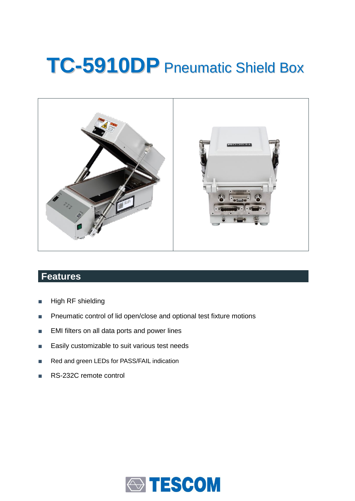# **TC-5910DP** Pneumatic Shield Box



## **Features**

- High RF shielding
- Pneumatic control of lid open/close and optional test fixture motions
- EMI filters on all data ports and power lines
- Easily customizable to suit various test needs
- Red and green LEDs for PASS/FAIL indication
- RS-232C remote control

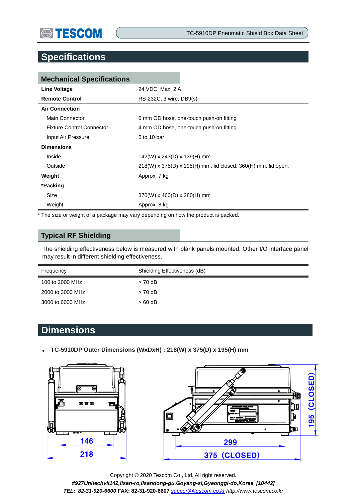## **Specifications**

| <b>Mechanical Specifications</b> |                                                                 |  |
|----------------------------------|-----------------------------------------------------------------|--|
| Line Voltage                     | 24 VDC, Max. 2 A                                                |  |
| <b>Remote Control</b>            | RS-232C, 3 wire, DB9(s)                                         |  |
| <b>Air Connection</b>            |                                                                 |  |
| Main Connector                   | 6 mm OD hose, one-touch push-on fitting                         |  |
| <b>Fixture Control Connector</b> | 4 mm OD hose, one-touch push-on fitting                         |  |
| Input Air Pressure               | 5 to 10 bar                                                     |  |
| <b>Dimensions</b>                |                                                                 |  |
| Inside                           | 142(W) x 243(D) x 139(H) mm                                     |  |
| Outside                          | $218(W)$ x 375(D) x 195(H) mm, lid closed. 360(H) mm, lid open. |  |
| Weight                           | Approx. 7 kg                                                    |  |
| *Packing                         |                                                                 |  |
| Size                             | $370(W)$ x 460(D) x 280(H) mm                                   |  |
| Weight                           | Approx. 8 kg                                                    |  |

\* The size or weight of a package may vary depending on how the product is packed.

#### **Typical RF Shielding**

The shielding effectiveness below is measured with blank panels mounted. Other I/O interface panel may result in different shielding effectiveness.

| Frequency        | Shielding Effectiveness (dB) |  |
|------------------|------------------------------|--|
| 100 to 2000 MHz  | $> 70$ dB                    |  |
| 2000 to 3000 MHz | $> 70$ dB                    |  |
| 3000 to 6000 MHz | $>60$ dB                     |  |

### **Dimensions**

**TC-5910DP Outer Dimensions (WxDxH) : 218(W) x 375(D) x 195(H) mm**





Copyright © 2020 Tescom Co., Ltd. All right reserved. *#927Unitechvil142,Ilsan-ro,Ilsandong-gu,Goyang-si,Gyeonggi-do,Korea [10442] TEL: 82-31-920-6600* **FAX: 82-31-920-6607** *[support@tescom.co.kr](mailto:support@tescom.co.kr) http://www.tescom.co.kr*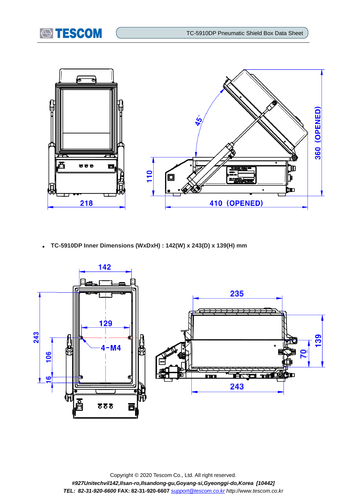



**TC-5910DP Inner Dimensions (WxDxH) : 142(W) x 243(D) x 139(H) mm**



Copyright © 2020 Tescom Co., Ltd. All right reserved. *#927Unitechvil142,Ilsan-ro,Ilsandong-gu,Goyang-si,Gyeonggi-do,Korea [10442] TEL: 82-31-920-6600* **FAX: 82-31-920-6607** *[support@tescom.co.kr](mailto:support@tescom.co.kr) http://www.tescom.co.kr*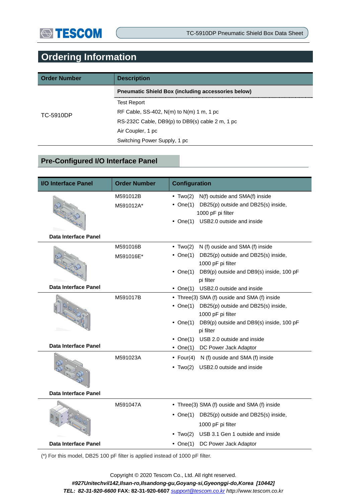## **Ordering Information**

| <b>Order Number</b> | <b>Description</b>                                        |  |
|---------------------|-----------------------------------------------------------|--|
| TC-5910DP           | <b>Preumatic Shield Box (including accessories below)</b> |  |
|                     | <b>Test Report</b>                                        |  |
|                     | RF Cable, SS-402, $N(m)$ to $N(m)$ 1 m, 1 pc              |  |
|                     | RS-232C Cable, DB9(p) to DB9(s) cable 2 m, 1 pc           |  |
|                     | Air Coupler, 1 pc                                         |  |
|                     | Switching Power Supply, 1 pc                              |  |

#### **Pre-Configured I/O Interface Panel**

| <b>I/O</b> Interface Panel  | <b>Order Number</b> | <b>Configuration</b>                                                 |  |  |
|-----------------------------|---------------------|----------------------------------------------------------------------|--|--|
|                             | M591012B            | $\bullet$ Two(2)<br>N(f) outside and SMA(f) inside                   |  |  |
|                             | M591012A*           | $\bullet$ One(1)<br>DB25(p) outside and DB25(s) inside,              |  |  |
|                             |                     | 1000 pF pi filter<br>USB2.0 outside and inside                       |  |  |
|                             |                     | $\bullet$ One(1)                                                     |  |  |
| Data Interface Panel        |                     |                                                                      |  |  |
|                             | M591016B            | N (f) ouside and SMA (f) inside<br>$\bullet$ Two(2)                  |  |  |
|                             | M591016E*           | DB25(p) outside and DB25(s) inside,<br>$\bullet$ One(1)              |  |  |
|                             |                     | 1000 pF pi filter                                                    |  |  |
|                             |                     | DB9(p) outside and DB9(s) inside, 100 pF<br>• One $(1)$              |  |  |
|                             |                     | pi filter                                                            |  |  |
| <b>Data Interface Panel</b> |                     | USB2.0 outside and inside<br>• $One(1)$                              |  |  |
|                             | M591017B            | • Three(3) SMA (f) ouside and SMA (f) inside                         |  |  |
|                             |                     | $\bullet$ One(1)<br>DB25(p) outside and DB25(s) inside,              |  |  |
|                             |                     | 1000 pF pi filter                                                    |  |  |
|                             |                     | DB9(p) outside and DB9(s) inside, 100 pF<br>• One $(1)$<br>pi filter |  |  |
|                             |                     | USB 2.0 outside and inside                                           |  |  |
| <b>Data Interface Panel</b> |                     | • One $(1)$<br>• $One(1)$<br>DC Power Jack Adaptor                   |  |  |
|                             | M591023A            |                                                                      |  |  |
|                             |                     | • Four(4) N (f) ouside and SMA (f) inside                            |  |  |
|                             |                     | USB2.0 outside and inside<br>• Two $(2)$                             |  |  |
|                             |                     |                                                                      |  |  |
| Data Interface Panel        |                     |                                                                      |  |  |
|                             | M591047A            | • Three(3) SMA (f) ouside and SMA (f) inside                         |  |  |
|                             |                     | $\bullet$ One(1)<br>DB25(p) outside and DB25(s) inside,              |  |  |
|                             |                     | 1000 pF pi filter                                                    |  |  |
|                             |                     | USB 3.1 Gen 1 outside and inside<br>• Two $(2)$                      |  |  |
| Data Interface Panel        |                     | DC Power Jack Adaptor<br>• One $(1)$                                 |  |  |

(\*) For this model, DB25 100 pF filter is applied instead of 1000 pF filter.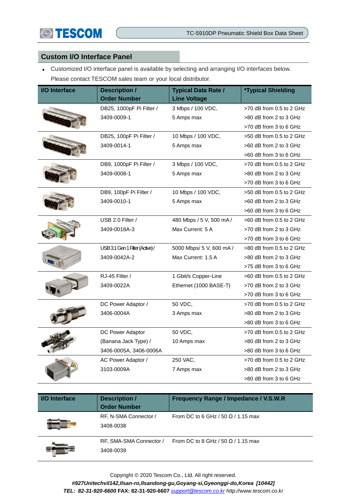## **STESCOM**

#### **Custom I/O Interface Panel**

 Customized I/O interface panel is available by selecting and arranging I/O interfaces below. Please contact TESCOM sales team or your local distributor.

| <b>I/O</b> Interface | <b>Description /</b>           | <b>Typical Data Rate /</b> | <i><b>*Typical Shielding</b></i> |
|----------------------|--------------------------------|----------------------------|----------------------------------|
|                      | <b>Order Number</b>            | <b>Line Voltage</b>        |                                  |
|                      | DB25, 1000pF Pi Filter /       | 3 Mbps / 100 VDC,          | >70 dB from 0.5 to 2 GHz         |
|                      | 3409-0009-1                    | 5 Amps max                 | >80 dB from 2 to 3 GHz           |
|                      |                                |                            | >70 dB from 3 to 6 GHz           |
|                      | DB25, 100pF Pi Filter /        | 10 Mbps / 100 VDC,         | $>50$ dB from 0.5 to 2 GHz       |
|                      | 3409-0014-1                    | 5 Amps max                 | >60 dB from 2 to 3 GHz           |
|                      |                                |                            | >60 dB from 3 to 6 GHz           |
|                      | DB9, 1000pF Pi Filter /        | 3 Mbps / 100 VDC,          | $>70$ dB from 0.5 to 2 GHz       |
|                      | 3409-0008-1                    | 5 Amps max                 | >80 dB from 2 to 3 GHz           |
|                      |                                |                            | >70 dB from 3 to 6 GHz           |
|                      | DB9, 100pF Pi Filter /         | 10 Mbps / 100 VDC,         | $>50$ dB from 0.5 to 2 GHz       |
|                      | 3409-0010-1                    | 5 Amps max                 | >60 dB from 2 to 3 GHz           |
|                      |                                |                            | $>60$ dB from 3 to 6 GHz         |
|                      | USB 2.0 Filter /               | 480 Mbps / 5 V, 500 mA /   | >60 dB from 0.5 to 2 GHz         |
|                      | 3409-0018A-3                   | Max Current: 5 A           | >70 dB from 2 to 3 GHz           |
|                      |                                |                            | >70 dB from 3 to 6 GHz           |
|                      | USB 3.1 Gen 1 Filter (Active)/ | 5000 Mbps/ 5 V, 600 mA /   | $>80$ dB from 0.5 to 2 GHz       |
|                      | 3409-0042A-2                   | Max Current: 1.5 A         | >80 dB from 2 to 3 GHz           |
|                      |                                |                            | >75 dB from 3 to 6 GHz           |
|                      | RJ-45 Filter /                 | 1 Gbit/s Copper-Line       | $>60$ dB from 0.5 to 2 GHz       |
|                      | 3409-0022A                     | Ethernet (1000 BASE-T)     | >70 dB from 2 to 3 GHz           |
|                      |                                |                            | >70 dB from 3 to 6 GHz           |
|                      | DC Power Adaptor /             | 50 VDC,                    | >70 dB from 0.5 to 2 GHz         |
|                      | 3406-0004A                     | 3 Amps max                 | >80 dB from 2 to 3 GHz           |
|                      |                                |                            | >80 dB from 3 to 6 GHz           |
|                      | DC Power Adaptor               | 50 VDC,                    | >70 dB from 0.5 to 2 GHz         |
|                      | (Banana Jack Type) /           | 10 Amps max                | >80 dB from 2 to 3 GHz           |
|                      | 3406-0005A, 3406-0006A         |                            | >80 dB from 3 to 6 GHz           |
|                      | AC Power Adaptor /             | 250 VAC,                   | $>70$ dB from 0.5 to 2 GHz       |
|                      | 3103-0009A                     | 7 Amps max                 | >80 dB from 2 to 3 GHz           |
|                      |                                |                            | >80 dB from 3 to 6 GHz           |

| <b>I/O</b> Interface | <b>Description /</b><br><b>Order Number</b> | Frequency Range / Impedance / V.S.W.R     |
|----------------------|---------------------------------------------|-------------------------------------------|
|                      | RF, N-SMA Connector /<br>3408-0038          | From DC to 6 GHz / 50 $\Omega$ / 1.15 max |
|                      | RF, SMA-SMA Connector /<br>3408-0039        | From DC to 8 GHz / 50 $\Omega$ / 1.15 max |